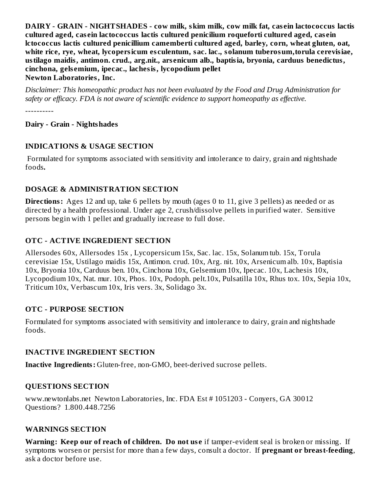**DAIRY - GRAIN - NIGHTSHADES - cow milk, skim milk, cow milk fat, cas ein lactococcus lactis cultured aged, cas ein lactococcus lactis cultured penicilium roqueforti cultured aged, cas ein lctococcus lactis cultured penicillium camemberti cultured aged, barley, corn, wheat gluten, oat, white rice, rye, wheat, lycopersicum es culentum, sac. lac., solanum tuberosum,torula cerevisiae, ustilago maidis, antimon. crud., arg.nit., ars enicum alb., baptisia, bryonia, carduus benedictus, cinchona, gels emium, ipecac., lachesis, lycopodium pellet Newton Laboratories, Inc.**

*Disclaimer: This homeopathic product has not been evaluated by the Food and Drug Administration for safety or efficacy. FDA is not aware of scientific evidence to support homeopathy as effective.*

----------

#### **Dairy - Grain - Nightshades**

#### **INDICATIONS & USAGE SECTION**

Formulated for symptoms associated with sensitivity and intolerance to dairy, grain and nightshade foods*.*

### **DOSAGE & ADMINISTRATION SECTION**

**Directions:** Ages 12 and up, take 6 pellets by mouth (ages 0 to 11, give 3 pellets) as needed or as directed by a health professional. Under age 2, crush/dissolve pellets in purified water. Sensitive persons begin with 1 pellet and gradually increase to full dose.

# **OTC - ACTIVE INGREDIENT SECTION**

Allersodes 60x, Allersodes 15x , Lycopersicum 15x, Sac. lac. 15x, Solanum tub. 15x, Torula cerevisiae 15x, Ustilago maidis 15x, Antimon. crud. 10x, Arg. nit. 10x, Arsenicum alb. 10x, Baptisia 10x, Bryonia 10x, Carduus ben. 10x, Cinchona 10x, Gelsemium 10x, Ipecac. 10x, Lachesis 10x, Lycopodium 10x, Nat. mur. 10x, Phos. 10x, Podoph. pelt.10x, Pulsatilla 10x, Rhus tox. 10x, Sepia 10x, Triticum 10x, Verbascum 10x, Iris vers. 3x, Solidago 3x.

### **OTC - PURPOSE SECTION**

Formulated for symptoms associated with sensitivity and intolerance to dairy, grain and nightshade foods.

### **INACTIVE INGREDIENT SECTION**

**Inactive Ingredients:** Gluten-free, non-GMO, beet-derived sucrose pellets.

### **QUESTIONS SECTION**

www.newtonlabs.net Newton Laboratories, Inc. FDA Est # 1051203 - Conyers, GA 30012 Questions? 1.800.448.7256

#### **WARNINGS SECTION**

**Warning: Keep our of reach of children. Do not us e** if tamper-evident seal is broken or missing. If symptoms worsen or persist for more than a few days, consult a doctor. If **pregnant or breast-feeding**, ask a doctor before use.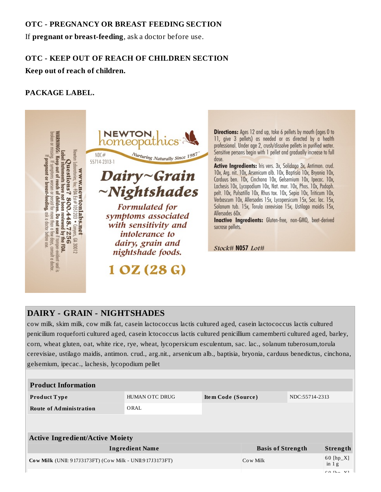#### **OTC - PREGNANCY OR BREAST FEEDING SECTION**

If **pregnant or breast-feeding**, ask a doctor before use.

### **OTC - KEEP OUT OF REACH OF CHILDREN SECTION**

**Keep out of reach of children.**

# **PACKAGE LABEL.**



Directions: Ages 12 and up, take 6 pellets by mouth (ages 0 to 11, give 3 pellets) as needed or as directed by a health professional. Under age 2, crush/dissolve pellets in purified water. Sensitive persons begin with 1 pellet and gradually increase to full dose.

Active Ingredients: Iris vers. 3x, Solidago 3x, Antimon. crud. 10x, Arg. nit. 10x, Arsenicum alb. 10x, Baptisia 10x, Bryonia 10x, Carduus ben. 10x, Cinchona 10x, Gelsemium 10x, Ipecac. 10x, Lachesis 10x, Lycopodium 10x, Nat. mur. 10x, Phos. 10x, Podoph. pelt. 10x, Pulsatilla 10x, Rhus tox. 10x, Sepia 10x, Triticum 10x, Verbascum 10x, Allersodes 15x, Lycopersicum 15x, Sac. lac. 15x, Solanum tub. 15x, Torula cerevisiae 15x, Ustilago maidis 15x, Allersodes 60x.

Inactive Ingredients: Gluten-free, non-GMO, beet-derived sucrose pellets.

Stock# N057 Lot#

# **DAIRY - GRAIN - NIGHTSHADES**

cow milk, skim milk, cow milk fat, casein lactococcus lactis cultured aged, casein lactococcus lactis cultured penicilium roqueforti cultured aged, casein lctococcus lactis cultured penicillium camemberti cultured aged, barley, corn, wheat gluten, oat, white rice, rye, wheat, lycopersicum esculentum, sac. lac., solanum tuberosum,torula cerevisiae, ustilago maidis, antimon. crud., arg.nit., arsenicum alb., baptisia, bryonia, carduus benedictus, cinchona, gelsemium, ipecac., lachesis, lycopodium pellet

| <b>Product Information</b>                               |                          |                    |                 |                |                        |
|----------------------------------------------------------|--------------------------|--------------------|-----------------|----------------|------------------------|
| <b>Product Type</b>                                      | <b>HUMAN OTC DRUG</b>    | Item Code (Source) |                 | NDC:55714-2313 |                        |
| <b>Route of Administration</b>                           | ORAL                     |                    |                 |                |                        |
|                                                          |                          |                    |                 |                |                        |
| <b>Active Ingredient/Active Moiety</b>                   |                          |                    |                 |                |                        |
| <b>Ingredient Name</b>                                   | <b>Basis of Strength</b> |                    | <b>Strength</b> |                |                        |
| Cow Milk (UNII: 917J3173FT) (Cow Milk - UNII:917J3173FT) |                          |                    | Cow Milk        |                | $60$ [hp_X]<br>in $1g$ |
|                                                          |                          |                    |                 |                | $CA = 321$             |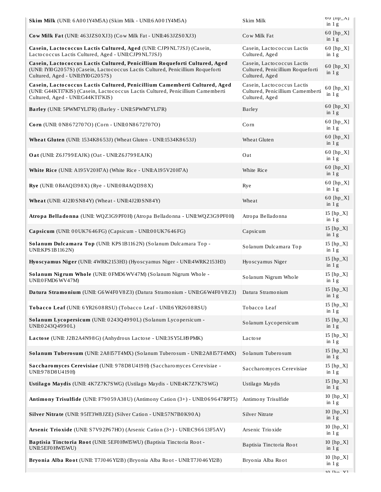| Skim Milk (UNII: 6A001Y4M5A) (Skim Milk - UNII:6A001Y4M5A)                                                                                                                                            | Skim Milk                                                                        | $00 \mu_{\text{L}}$<br>in $1g$ |
|-------------------------------------------------------------------------------------------------------------------------------------------------------------------------------------------------------|----------------------------------------------------------------------------------|--------------------------------|
| Cow Milk Fat (UNII: 463JZS0XJ3) (Cow Milk Fat - UNII:463JZS0XJ3)                                                                                                                                      | Cow Milk Fat                                                                     | 60 [hp_X]<br>in $1g$           |
| Casein, Lactococcus Lactis Cultured, Aged (UNII: CJP9NL7JSJ) (Casein,<br>Lactococcus Lactis Cultured, Aged - UNII:CJP9NL7JSJ)                                                                         | Casein, Lactococcus Lactis<br>Cultured, Aged                                     | 60 [hp_X]<br>in $1g$           |
| Casein, Lactococcus Lactis Cultured, Penicillium Roqueforti Cultured, Aged<br>(UNII: IYI0 G2057S) (Casein, Lactococcus Lactis Cultured, Penicillium Roqueforti<br>Cultured, Aged - UNII: IYI0 G2057S) | Casein, Lactococcus Lactis<br>Cultured, Penicillium Roqueforti<br>Cultured, Aged | 60 [hp_X]<br>in $1g$           |
| Casein, Lactococcus Lactis Cultured, Penicillium Camemberti Cultured, Aged<br>(UNII: G44KTI7KIS) (Casein, Lactococcus Lactis Cultured, Penicillium Camemberti<br>Cultured, Aged - UNII:G44KTI7KIS)    | Casein, Lactococcus Lactis<br>Cultured, Penicillium Camemberti<br>Cultured, Aged | 60 [hp_X]<br>in 1g             |
| Barley (UNII: 5PWM7YLI7R) (Barley - UNII:5PWM7YLI7R)                                                                                                                                                  | <b>Barley</b>                                                                    | 60 [hp_X]<br>in 1g             |
| Corn (UNII: 0N8672707O) (Corn - UNII:0N8672707O)                                                                                                                                                      | Corn                                                                             | 60 [hp_X]<br>in $1g$           |
| Wheat Gluten (UNII: 1534K8653J) (Wheat Gluten - UNII:1534K8653J)                                                                                                                                      | Wheat Gluten                                                                     | 60 [hp_X]<br>in $1g$           |
| Oat (UNII: Z6J799EAJK) (Oat - UNII:Z6J799EAJK)                                                                                                                                                        | Oat                                                                              | 60 [hp_X]<br>in $1g$           |
| White Rice (UNII: A195V20H7A) (White Rice - UNII:A195V20H7A)                                                                                                                                          | White Rice                                                                       | 60 [hp_X]<br>in 1g             |
| Rye (UNII: 0R4AQI398X) (Rye - UNII: 0R4AQI398X)                                                                                                                                                       | Rye                                                                              | 60 [hp_X]<br>in $1g$           |
| Wheat (UNII: 4J2I0 SN84Y) (Wheat - UNII:4J2I0 SN84Y)                                                                                                                                                  | Wheat                                                                            | 60 [hp_X]<br>in $1g$           |
| Atropa Belladonna (UNII: WQZ3G9PF0H) (Atropa Belladonna - UNII: WQZ3G9PF0H)                                                                                                                           | Atropa Belladonna                                                                | 15 [hp_X]<br>in $1g$           |
| Capsicum (UNII: 00UK7646FG) (Capsicum - UNII:00UK7646FG)                                                                                                                                              | Capsicum                                                                         | 15 [hp_X]<br>in $1g$           |
| Solanum Dulcamara Top (UNII: KPS1B1162N) (Solanum Dulcamara Top -<br>UNII: KPS 1B1162N)                                                                                                               | Solanum Dulcamara Top                                                            | 15 [hp_X]<br>in $1g$           |
| Hyoscyamus Niger (UNII: 4WRK2153H3) (Hyoscyamus Niger - UNII:4WRK2153H3)                                                                                                                              | Hyoscyamus Niger                                                                 | 15 [hp_X]<br>in $1g$           |
| Solanum Nigrum Whole (UNII: 0FMD6WV47M) (Solanum Nigrum Whole -<br>UNII:0 FMD6 WV47M)                                                                                                                 | Solanum Nigrum Whole                                                             | 15 [hp_X]<br>in $1g$           |
| Datura Stramonium (UNII: G6W4F0V8Z3) (Datura Stramonium - UNII:G6W4F0V8Z3) Datura Stramonium                                                                                                          |                                                                                  | 15 [hp_X]<br>in 1 g            |
| Tobacco Leaf (UNII: 6 YR2608 RSU) (Tobacco Leaf - UNII:6 YR2608 RSU)                                                                                                                                  | Tobacco Leaf                                                                     | 15 [hp_X]<br>in $1g$           |
| Solanum Lycopersicum (UNII: 0243Q4990L) (Solanum Lycopersicum -<br>UNII:0243Q4990L)                                                                                                                   | Solanum Lycopersicum                                                             | 15 $[hp_X]$<br>in $1g$         |
| Lactose (UNII: J2B2A4N98G) (Anhydrous Lactose - UNII:3SY5LH9PMK)                                                                                                                                      | Lactose                                                                          | 15 [hp_X]<br>in 1g             |
| Solanum Tuberosum (UNII: 2A8I57T4MX) (Solanum Tuberosum - UNII:2A8I57T4MX)                                                                                                                            | Solanum Tuberosum                                                                | 15 [hp_X]<br>in $1g$           |
| Saccharomyces Cerevisiae (UNII: 978D8U419H) (Saccharomyces Cerevisiae -<br>UNII:978 D8 U419 H)                                                                                                        | Saccharomyces Cerevisiae                                                         | 15 [hp_X]<br>in $1g$           |
| Ustilago Maydis (UNII: 4K7Z7K7SWG) (Ustilago Maydis - UNII:4K7Z7K7SWG)                                                                                                                                | Ustilago Maydis                                                                  | 15 [hp_X]<br>in $1g$           |
| Antimony Trisulfide (UNII: F79059A38U) (Antimony Cation (3+) - UNII:069647RPT5)                                                                                                                       | Antimony Trisulfide                                                              | 10 [hp_X]<br>in $1g$           |
| Silver Nitrate (UNII: 95IT3W8JZE) (Silver Cation - UNII:57N7B0K90A)                                                                                                                                   | Silver Nitrate                                                                   | 10 [hp_X]<br>in $1g$           |
| Arsenic Trioxide (UNII: S7V92P67HO) (Arsenic Cation (3+) - UNII:C96613F5AV)                                                                                                                           | Arsenic Trioxide                                                                 | $10$ [hp_X]<br>in $1g$         |
| Baptisia Tinctoria Root (UNII: 5EF0HWI5WU) (Baptisia Tinctoria Root -<br>UNII:5EF0 HWI5WU)                                                                                                            | Baptisia Tinctoria Root                                                          | 10 [hp_X]<br>in $1g$           |
| Bryonia Alba Root (UNII: T7J046YI2B) (Bryonia Alba Root - UNII: T7J046YI2B)                                                                                                                           | Bryonia Alba Root                                                                | 10 $[hp_X]$<br>in $1g$         |
|                                                                                                                                                                                                       |                                                                                  |                                |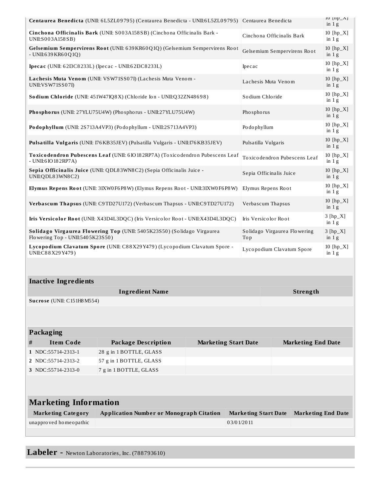| Centaurea Benedicta (UNII: 6L5ZL09795) (Centaurea Benedicta - UNII:6L5ZL09795) Centaurea Benedicta                         |                              |                                                                                  |                                     | $10$ [IIP_ $\Delta$ ]<br>in $1g$ |                              |                        |
|----------------------------------------------------------------------------------------------------------------------------|------------------------------|----------------------------------------------------------------------------------|-------------------------------------|----------------------------------|------------------------------|------------------------|
| Cinchona Officinalis Bark (UNII: S003A158SB) (Cinchona Officinalis Bark -<br>UNII:S003A158SB)                              |                              |                                                                                  | Cinchona Officinalis Bark           |                                  | $10$ [hp_X]<br>in $1g$       |                        |
| Gelsemium Sempervirens Root (UNII: 639KR60Q1Q) (Gelsemium Sempervirens Root<br>- UNII:639 KR60Q1Q)                         |                              |                                                                                  | Gelsemium Sempervirens Root         |                                  | $10$ [hp_X]<br>in $1g$       |                        |
| <b>Ipecac</b> (UNII: 62I3C8233L) (Ipecac - UNII:62I3C8233L)                                                                |                              |                                                                                  | Ipecac                              |                                  | 10 [hp_X]<br>in 1g           |                        |
| Lachesis Muta Venom (UNII: VSW71SS07I) (Lachesis Muta Venom -<br>UNII: VSW71SS07I)                                         |                              |                                                                                  | Lachesis Muta Venom                 |                                  | $10$ [hp_X]<br>in $1g$       |                        |
| Sodium Chloride (UNII: 451W47IQ8X) (Chloride Ion - UNII:Q32ZN48698)                                                        |                              |                                                                                  | Sodium Chloride                     |                                  | 10 [hp_X]<br>in $1g$         |                        |
|                                                                                                                            |                              | Phosphorus (UNII: 27YLU75U4W) (Phosphorus - UNII:27YLU75U4W)                     |                                     | Phosphorus                       |                              | $10$ [hp_X]<br>in $1g$ |
|                                                                                                                            |                              | Podophyllum (UNII: 2S713A4VP3) (Podophyllum - UNII:2S713A4VP3)                   |                                     | Podophyllum                      |                              | 10 [hp_X]<br>in $1g$   |
|                                                                                                                            |                              | Pulsatilla Vulgaris (UNII: 176 KB35JEV) (Pulsatilla Vulgaris - UNII:176 KB35JEV) |                                     | Pulsatilla Vulgaris              |                              | $10$ [hp_X]<br>in $1g$ |
|                                                                                                                            | - UNII:6 IO 18 2 RP7A)       | Toxicodendron Pubescens Leaf (UNII: 6 IO182RP7A) (Toxicodendron Pubescens Leaf   |                                     |                                  | Toxicodendron Pubescens Leaf | $10$ [hp_X]<br>in $1g$ |
|                                                                                                                            | UNII:QDL83WN8C2)             | Sepia Officinalis Juice (UNII: QDL83WN8C2) (Sepia Officinalis Juice -            |                                     | Sepia Officinalis Juice          |                              | $10$ [hp_X]<br>in 1g   |
| Elymus Repens Root (UNII: 3IXW0 F6 P8 W) (Elymus Repens Root - UNII: 3IXW0 F6 P8 W)<br>Elymus Repens Root                  |                              |                                                                                  |                                     |                                  | 10 [hp_X]<br>in $1g$         |                        |
| Verbascum Thapsus (UNII: C9TD27U172) (Verbascum Thapsus - UNII:C9TD27U172)<br>Verbascum Thapsus                            |                              |                                                                                  |                                     |                                  | $10$ [hp_X]<br>in 1g         |                        |
| Iris Versicolor Root (UNII: X43D4L3DQC) (Iris Versicolor Root - UNII:X43D4L3DQC)                                           |                              |                                                                                  | Iris Versicolor Root                |                                  | $3 [hp_X]$<br>in $1g$        |                        |
| Solidago Virgaurea Flowering Top (UNII: 5405K23S50) (Solidago Virgaurea<br>Flowering Top - UNII:5405K23S50)                |                              |                                                                                  | Solidago Virgaurea Flowering<br>Top |                                  | $3 [hp_X]$<br>in $1g$        |                        |
| Lycopodium Clavatum Spore (UNII: C88X29Y479) (Lycopodium Clavatum Spore -<br>Lycopodium Clavatum Spore<br>UNII:C88X29Y479) |                              |                                                                                  | 10 [hp_X]<br>in $1g$                |                                  |                              |                        |
|                                                                                                                            |                              |                                                                                  |                                     |                                  |                              |                        |
|                                                                                                                            | <b>Inactive Ingredients</b>  |                                                                                  |                                     |                                  |                              |                        |
|                                                                                                                            |                              | <b>Ingredient Name</b>                                                           |                                     |                                  | <b>Strength</b>              |                        |
|                                                                                                                            | Sucrose (UNII: C151H8 M554)  |                                                                                  |                                     |                                  |                              |                        |
|                                                                                                                            |                              |                                                                                  |                                     |                                  |                              |                        |
|                                                                                                                            | <b>Packaging</b>             |                                                                                  |                                     |                                  |                              |                        |
| #                                                                                                                          | <b>Item Code</b>             | <b>Package Description</b>                                                       | <b>Marketing Start Date</b>         |                                  | <b>Marketing End Date</b>    |                        |
|                                                                                                                            | 1 NDC:55714-2313-1           | 28 g in 1 BOTTLE, GLASS                                                          |                                     |                                  |                              |                        |
|                                                                                                                            | 2 NDC:55714-2313-2           | 57 g in 1 BOTTLE, GLASS                                                          |                                     |                                  |                              |                        |
|                                                                                                                            | 3 NDC:55714-2313-0           | 7 g in 1 BOTTLE, GLASS                                                           |                                     |                                  |                              |                        |
|                                                                                                                            |                              |                                                                                  |                                     |                                  |                              |                        |
|                                                                                                                            |                              |                                                                                  |                                     |                                  |                              |                        |
|                                                                                                                            | <b>Marketing Information</b> |                                                                                  |                                     |                                  |                              |                        |
|                                                                                                                            | <b>Marketing Category</b>    | <b>Application Number or Monograph Citation</b>                                  |                                     | <b>Marketing Start Date</b>      | <b>Marketing End Date</b>    |                        |
| unapproved homeopathic<br>03/01/2011                                                                                       |                              |                                                                                  |                                     |                                  |                              |                        |
|                                                                                                                            |                              |                                                                                  |                                     |                                  |                              |                        |
|                                                                                                                            |                              |                                                                                  |                                     |                                  |                              |                        |

**Labeler -** Newton Laboratories, Inc. (788793610)